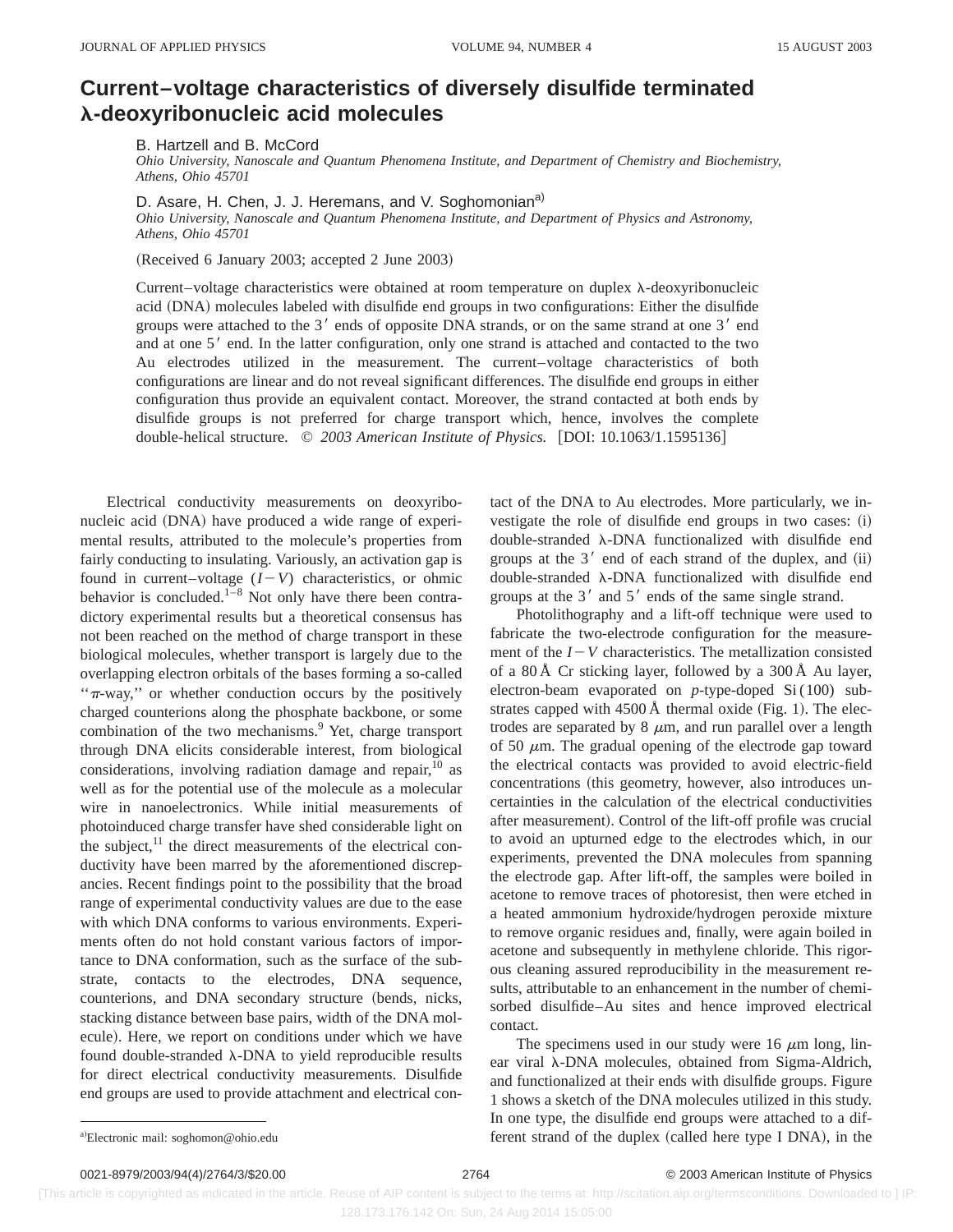## **Current–voltage characteristics of diversely disulfide terminated** l**-deoxyribonucleic acid molecules**

B. Hartzell and B. McCord

*Ohio University, Nanoscale and Quantum Phenomena Institute, and Department of Chemistry and Biochemistry, Athens, Ohio 45701*

D. Asare, H. Chen, J. J. Heremans, and V. Soghomonian<sup>a)</sup>

*Ohio University, Nanoscale and Quantum Phenomena Institute, and Department of Physics and Astronomy, Athens, Ohio 45701*

(Received 6 January 2003; accepted 2 June 2003)

Current–voltage characteristics were obtained at room temperature on duplex  $\lambda$ -deoxyribonucleic acid (DNA) molecules labeled with disulfide end groups in two configurations: Either the disulfide groups were attached to the 3' ends of opposite DNA strands, or on the same strand at one 3' end and at one 5' end. In the latter configuration, only one strand is attached and contacted to the two Au electrodes utilized in the measurement. The current–voltage characteristics of both configurations are linear and do not reveal significant differences. The disulfide end groups in either configuration thus provide an equivalent contact. Moreover, the strand contacted at both ends by disulfide groups is not preferred for charge transport which, hence, involves the complete double-helical structure. © 2003 American Institute of Physics. [DOI: 10.1063/1.1595136]

Electrical conductivity measurements on deoxyribonucleic acid (DNA) have produced a wide range of experimental results, attributed to the molecule's properties from fairly conducting to insulating. Variously, an activation gap is found in current–voltage  $(I-V)$  characteristics, or ohmic behavior is concluded. $1-8$  Not only have there been contradictory experimental results but a theoretical consensus has not been reached on the method of charge transport in these biological molecules, whether transport is largely due to the overlapping electron orbitals of the bases forming a so-called " $\pi$ -way," or whether conduction occurs by the positively charged counterions along the phosphate backbone, or some combination of the two mechanisms.<sup>9</sup> Yet, charge transport through DNA elicits considerable interest, from biological considerations, involving radiation damage and repair,  $10$  as well as for the potential use of the molecule as a molecular wire in nanoelectronics. While initial measurements of photoinduced charge transfer have shed considerable light on the subject, $^{11}$  the direct measurements of the electrical conductivity have been marred by the aforementioned discrepancies. Recent findings point to the possibility that the broad range of experimental conductivity values are due to the ease with which DNA conforms to various environments. Experiments often do not hold constant various factors of importance to DNA conformation, such as the surface of the substrate, contacts to the electrodes, DNA sequence, counterions, and DNA secondary structure (bends, nicks, stacking distance between base pairs, width of the DNA molecule). Here, we report on conditions under which we have found double-stranded  $\lambda$ -DNA to yield reproducible results for direct electrical conductivity measurements. Disulfide end groups are used to provide attachment and electrical contact of the DNA to Au electrodes. More particularly, we investigate the role of disulfide end groups in two cases:  $(i)$ double-stranded  $\lambda$ -DNA functionalized with disulfide end groups at the  $3'$  end of each strand of the duplex, and  $(ii)$ double-stranded  $\lambda$ -DNA functionalized with disulfide end groups at the  $3'$  and  $5'$  ends of the same single strand.

Photolithography and a lift-off technique were used to fabricate the two-electrode configuration for the measurement of the  $I-V$  characteristics. The metallization consisted of a 80 Å Cr sticking layer, followed by a 300 Å Au layer, electron-beam evaporated on *p*-type-doped Si (100) substrates capped with  $4500 \text{ Å}$  thermal oxide (Fig. 1). The electrodes are separated by  $8 \mu m$ , and run parallel over a length of 50  $\mu$ m. The gradual opening of the electrode gap toward the electrical contacts was provided to avoid electric-field concentrations (this geometry, however, also introduces uncertainties in the calculation of the electrical conductivities after measurement). Control of the lift-off profile was crucial to avoid an upturned edge to the electrodes which, in our experiments, prevented the DNA molecules from spanning the electrode gap. After lift-off, the samples were boiled in acetone to remove traces of photoresist, then were etched in a heated ammonium hydroxide/hydrogen peroxide mixture to remove organic residues and, finally, were again boiled in acetone and subsequently in methylene chloride. This rigorous cleaning assured reproducibility in the measurement results, attributable to an enhancement in the number of chemisorbed disulfide–Au sites and hence improved electrical contact.

The specimens used in our study were 16  $\mu$ m long, linear viral  $\lambda$ -DNA molecules, obtained from Sigma-Aldrich, and functionalized at their ends with disulfide groups. Figure 1 shows a sketch of the DNA molecules utilized in this study. In one type, the disulfide end groups were attached to a different strand of the duplex (called here type I DNA), in the

 [This article is copyrighted as indicated in the article. Reuse of AIP content is subject to the terms at: http://scitation.aip.org/termsconditions. Downloaded to ] IP: 128.173.176.142 On: Sun, 24 Aug 2014 15:05:00

a)Electronic mail: soghomon@ohio.edu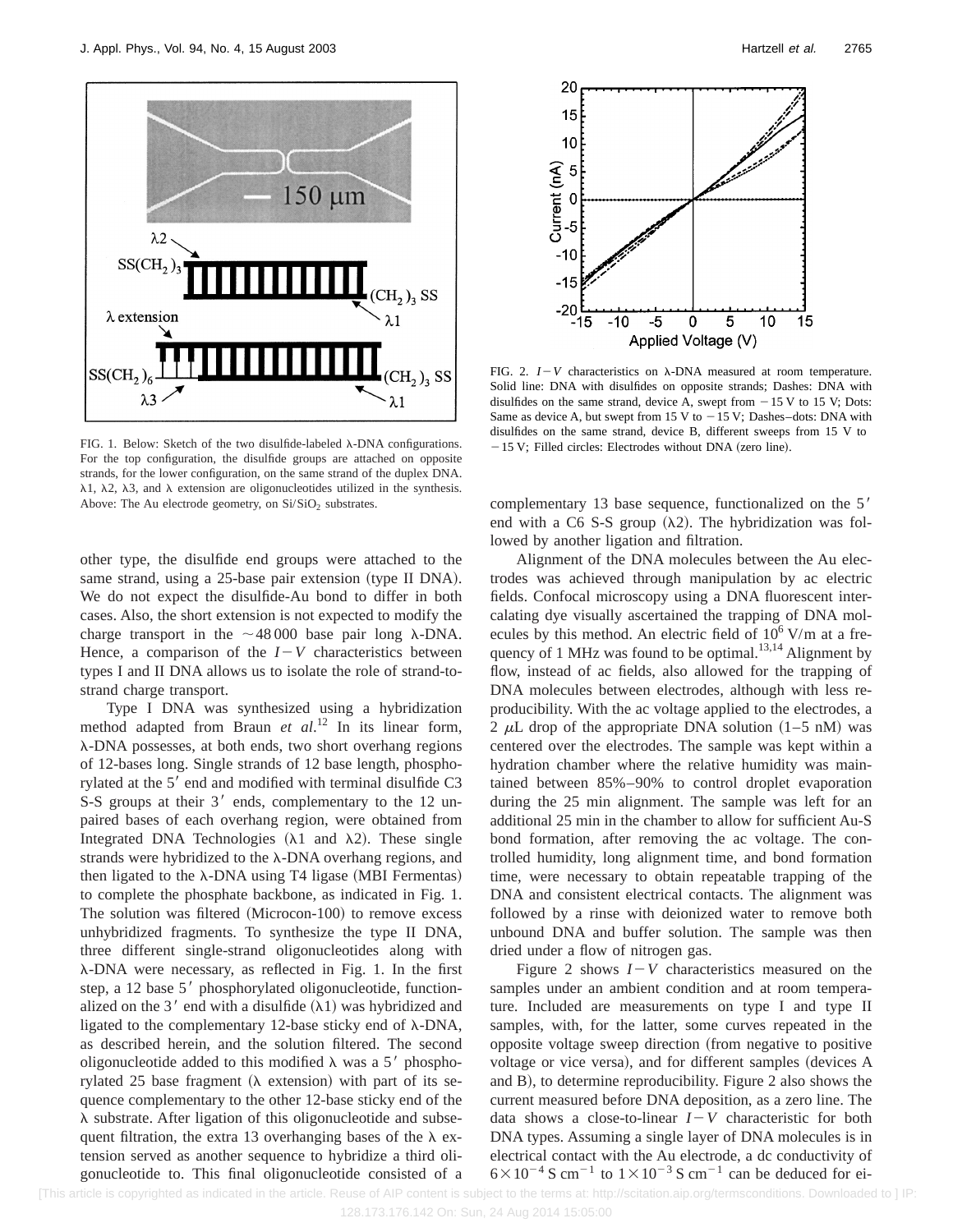

FIG. 1. Below: Sketch of the two disulfide-labeled  $\lambda$ -DNA configurations. For the top configuration, the disulfide groups are attached on opposite strands, for the lower configuration, on the same strand of the duplex DNA.  $\lambda$ 1,  $\lambda$ 2,  $\lambda$ 3, and  $\lambda$  extension are oligonucleotides utilized in the synthesis. Above: The Au electrode geometry, on  $Si/SiO<sub>2</sub>$  substrates.

other type, the disulfide end groups were attached to the same strand, using a 25-base pair extension (type II DNA). We do not expect the disulfide-Au bond to differ in both cases. Also, the short extension is not expected to modify the charge transport in the  $\sim$ 48 000 base pair long  $\lambda$ -DNA. Hence, a comparison of the  $I-V$  characteristics between types I and II DNA allows us to isolate the role of strand-tostrand charge transport.

Type I DNA was synthesized using a hybridization method adapted from Braun *et al*. <sup>12</sup> In its linear form, l-DNA possesses, at both ends, two short overhang regions of 12-bases long. Single strands of 12 base length, phosphorylated at the 5<sup>'</sup> end and modified with terminal disulfide C3 S-S groups at their 3' ends, complementary to the 12 unpaired bases of each overhang region, were obtained from Integrated DNA Technologies  $(\lambda 1$  and  $\lambda 2)$ . These single strands were hybridized to the  $\lambda$ -DNA overhang regions, and then ligated to the  $\lambda$ -DNA using T4 ligase (MBI Fermentas) to complete the phosphate backbone, as indicated in Fig. 1. The solution was filtered (Microcon-100) to remove excess unhybridized fragments. To synthesize the type II DNA, three different single-strand oligonucleotides along with l-DNA were necessary, as reflected in Fig. 1. In the first step, a 12 base 5' phosphorylated oligonucleotide, functionalized on the 3' end with a disulfide  $(\lambda 1)$  was hybridized and ligated to the complementary 12-base sticky end of  $\lambda$ -DNA, as described herein, and the solution filtered. The second oligonucleotide added to this modified  $\lambda$  was a 5' phosphorylated 25 base fragment  $(\lambda$  extension) with part of its sequence complementary to the other 12-base sticky end of the  $\lambda$  substrate. After ligation of this oligonucleotide and subsequent filtration, the extra 13 overhanging bases of the  $\lambda$  extension served as another sequence to hybridize a third oligonucleotide to. This final oligonucleotide consisted of a



FIG. 2.  $I-V$  characteristics on  $\lambda$ -DNA measured at room temperature. Solid line: DNA with disulfides on opposite strands; Dashes: DNA with disulfides on the same strand, device A, swept from  $-15$  V to 15 V; Dots: Same as device A, but swept from 15 V to  $-15$  V; Dashes–dots: DNA with disulfides on the same strand, device B, different sweeps from 15 V to  $-15$  V; Filled circles: Electrodes without DNA (zero line).

complementary 13 base sequence, functionalized on the  $5'$ end with a C6 S-S group  $(\lambda 2)$ . The hybridization was followed by another ligation and filtration.

Alignment of the DNA molecules between the Au electrodes was achieved through manipulation by ac electric fields. Confocal microscopy using a DNA fluorescent intercalating dye visually ascertained the trapping of DNA molecules by this method. An electric field of  $10^6$  V/m at a frequency of 1 MHz was found to be optimal.<sup>13,14</sup> Alignment by flow, instead of ac fields, also allowed for the trapping of DNA molecules between electrodes, although with less reproducibility. With the ac voltage applied to the electrodes, a 2  $\mu$ L drop of the appropriate DNA solution (1–5 nM) was centered over the electrodes. The sample was kept within a hydration chamber where the relative humidity was maintained between 85%–90% to control droplet evaporation during the 25 min alignment. The sample was left for an additional 25 min in the chamber to allow for sufficient Au-S bond formation, after removing the ac voltage. The controlled humidity, long alignment time, and bond formation time, were necessary to obtain repeatable trapping of the DNA and consistent electrical contacts. The alignment was followed by a rinse with deionized water to remove both unbound DNA and buffer solution. The sample was then dried under a flow of nitrogen gas.

Figure 2 shows  $I - V$  characteristics measured on the samples under an ambient condition and at room temperature. Included are measurements on type I and type II samples, with, for the latter, some curves repeated in the opposite voltage sweep direction (from negative to positive voltage or vice versa), and for different samples (devices A and B), to determine reproducibility. Figure 2 also shows the current measured before DNA deposition, as a zero line. The data shows a close-to-linear  $I-V$  characteristic for both DNA types. Assuming a single layer of DNA molecules is in electrical contact with the Au electrode, a dc conductivity of  $6\times10^{-4}$  S cm<sup>-1</sup> to  $1\times10^{-3}$  S cm<sup>-1</sup> can be deduced for ei